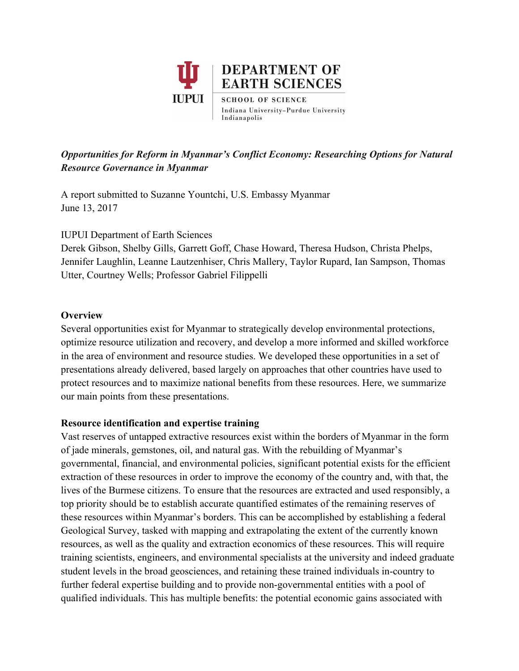

# *Opportunities for Reform in Myanmar's Conflict Economy: Researching Options for Natural Resource Governance in Myanmar*

A report submitted to Suzanne Yountchi, U.S. Embassy Myanmar June 13, 2017

IUPUI Department of Earth Sciences

Derek Gibson, Shelby Gills, Garrett Goff, Chase Howard, Theresa Hudson, Christa Phelps, Jennifer Laughlin, Leanne Lautzenhiser, Chris Mallery, Taylor Rupard, Ian Sampson, Thomas Utter, Courtney Wells; Professor Gabriel Filippelli

## **Overview**

Several opportunities exist for Myanmar to strategically develop environmental protections, optimize resource utilization and recovery, and develop a more informed and skilled workforce in the area of environment and resource studies. We developed these opportunities in a set of presentations already delivered, based largely on approaches that other countries have used to protect resources and to maximize national benefits from these resources. Here, we summarize our main points from these presentations.

### **Resource identification and expertise training**

Vast reserves of untapped extractive resources exist within the borders of Myanmar in the form of jade minerals, gemstones, oil, and natural gas. With the rebuilding of Myanmar's governmental, financial, and environmental policies, significant potential exists for the efficient extraction of these resources in order to improve the economy of the country and, with that, the lives of the Burmese citizens. To ensure that the resources are extracted and used responsibly, a top priority should be to establish accurate quantified estimates of the remaining reserves of these resources within Myanmar's borders. This can be accomplished by establishing a federal Geological Survey, tasked with mapping and extrapolating the extent of the currently known resources, as well as the quality and extraction economics of these resources. This will require training scientists, engineers, and environmental specialists at the university and indeed graduate student levels in the broad geosciences, and retaining these trained individuals in-country to further federal expertise building and to provide non-governmental entities with a pool of qualified individuals. This has multiple benefits: the potential economic gains associated with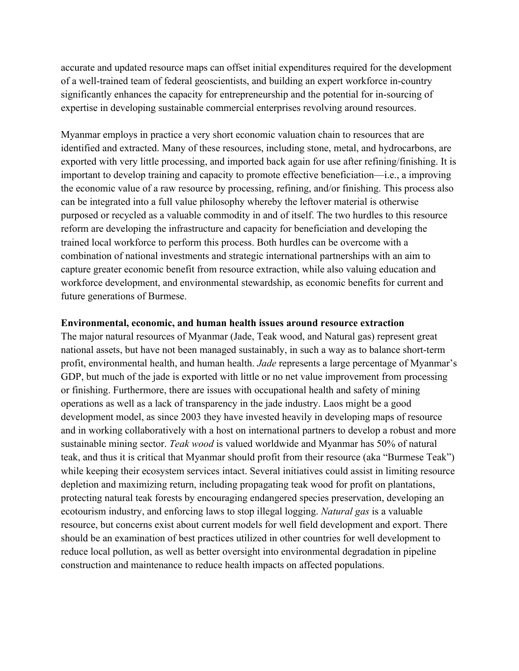accurate and updated resource maps can offset initial expenditures required for the development of a well-trained team of federal geoscientists, and building an expert workforce in-country significantly enhances the capacity for entrepreneurship and the potential for in-sourcing of expertise in developing sustainable commercial enterprises revolving around resources.

Myanmar employs in practice a very short economic valuation chain to resources that are identified and extracted. Many of these resources, including stone, metal, and hydrocarbons, are exported with very little processing, and imported back again for use after refining/finishing. It is important to develop training and capacity to promote effective beneficiation—i.e., a improving the economic value of a raw resource by processing, refining, and/or finishing. This process also can be integrated into a full value philosophy whereby the leftover material is otherwise purposed or recycled as a valuable commodity in and of itself. The two hurdles to this resource reform are developing the infrastructure and capacity for beneficiation and developing the trained local workforce to perform this process. Both hurdles can be overcome with a combination of national investments and strategic international partnerships with an aim to capture greater economic benefit from resource extraction, while also valuing education and workforce development, and environmental stewardship, as economic benefits for current and future generations of Burmese.

#### **Environmental, economic, and human health issues around resource extraction**

The major natural resources of Myanmar (Jade, Teak wood, and Natural gas) represent great national assets, but have not been managed sustainably, in such a way as to balance short-term profit, environmental health, and human health. *Jade* represents a large percentage of Myanmar's GDP, but much of the jade is exported with little or no net value improvement from processing or finishing. Furthermore, there are issues with occupational health and safety of mining operations as well as a lack of transparency in the jade industry. Laos might be a good development model, as since 2003 they have invested heavily in developing maps of resource and in working collaboratively with a host on international partners to develop a robust and more sustainable mining sector. *Teak wood* is valued worldwide and Myanmar has 50% of natural teak, and thus it is critical that Myanmar should profit from their resource (aka "Burmese Teak") while keeping their ecosystem services intact. Several initiatives could assist in limiting resource depletion and maximizing return, including propagating teak wood for profit on plantations, protecting natural teak forests by encouraging endangered species preservation, developing an ecotourism industry, and enforcing laws to stop illegal logging. *Natural gas* is a valuable resource, but concerns exist about current models for well field development and export. There should be an examination of best practices utilized in other countries for well development to reduce local pollution, as well as better oversight into environmental degradation in pipeline construction and maintenance to reduce health impacts on affected populations.